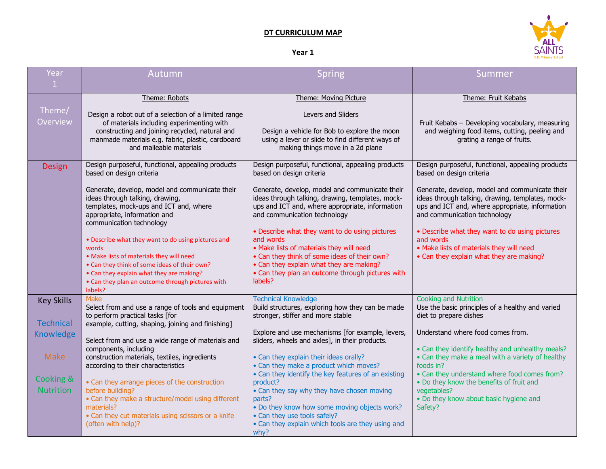## **DT CURRICULUM MAP**

## **Year 1**



| Year<br>$\overline{1}$                | Autumn                                                                                                                                                                                                                                                  | Spring                                                                                                                                                                                                                                                             | Summer                                                                                                                                                                                |
|---------------------------------------|---------------------------------------------------------------------------------------------------------------------------------------------------------------------------------------------------------------------------------------------------------|--------------------------------------------------------------------------------------------------------------------------------------------------------------------------------------------------------------------------------------------------------------------|---------------------------------------------------------------------------------------------------------------------------------------------------------------------------------------|
| $T$ heme $/$                          | Theme: Robots                                                                                                                                                                                                                                           | Theme: Moving Picture                                                                                                                                                                                                                                              | Theme: Fruit Kebabs                                                                                                                                                                   |
| <b>Overview</b>                       | Design a robot out of a selection of a limited range<br>of materials including experimenting with<br>constructing and joining recycled, natural and<br>manmade materials e.g. fabric, plastic, cardboard<br>and malleable materials                     | Levers and Sliders<br>Design a vehicle for Bob to explore the moon<br>using a lever or slide to find different ways of<br>making things move in a 2d plane                                                                                                         | Fruit Kebabs - Developing vocabulary, measuring<br>and weighing food items, cutting, peeling and<br>grating a range of fruits.                                                        |
| <b>Design</b>                         | Design purposeful, functional, appealing products<br>based on design criteria                                                                                                                                                                           | Design purposeful, functional, appealing products<br>based on design criteria                                                                                                                                                                                      | Design purposeful, functional, appealing products<br>based on design criteria                                                                                                         |
|                                       | Generate, develop, model and communicate their<br>ideas through talking, drawing,<br>templates, mock-ups and ICT and, where<br>appropriate, information and<br>communication technology                                                                 | Generate, develop, model and communicate their<br>ideas through talking, drawing, templates, mock-<br>ups and ICT and, where appropriate, information<br>and communication technology                                                                              | Generate, develop, model and communicate their<br>ideas through talking, drawing, templates, mock-<br>ups and ICT and, where appropriate, information<br>and communication technology |
|                                       | • Describe what they want to do using pictures and<br>words<br>. Make lists of materials they will need<br>• Can they think of some ideas of their own?<br>• Can they explain what they are making?<br>• Can they plan an outcome through pictures with | • Describe what they want to do using pictures<br>and words<br>• Make lists of materials they will need<br>• Can they think of some ideas of their own?<br>• Can they explain what they are making?<br>• Can they plan an outcome through pictures with<br>labels? | • Describe what they want to do using pictures<br>and words<br>• Make lists of materials they will need<br>• Can they explain what they are making?                                   |
|                                       | labels?                                                                                                                                                                                                                                                 |                                                                                                                                                                                                                                                                    |                                                                                                                                                                                       |
| <b>Key Skills</b><br><b>Technical</b> | <b>Make</b><br>Select from and use a range of tools and equipment<br>to perform practical tasks [for                                                                                                                                                    | <b>Technical Knowledge</b><br>Build structures, exploring how they can be made<br>stronger, stiffer and more stable                                                                                                                                                | <b>Cooking and Nutrition</b><br>Use the basic principles of a healthy and varied<br>diet to prepare dishes                                                                            |
| Knowledge                             | example, cutting, shaping, joining and finishing]<br>Select from and use a wide range of materials and                                                                                                                                                  | Explore and use mechanisms [for example, levers,<br>sliders, wheels and axles], in their products.                                                                                                                                                                 | Understand where food comes from.                                                                                                                                                     |
| <b>Make</b>                           | components, including<br>construction materials, textiles, ingredients<br>according to their characteristics                                                                                                                                            | • Can they explain their ideas orally?<br>• Can they make a product which moves?                                                                                                                                                                                   | • Can they identify healthy and unhealthy meals?<br>• Can they make a meal with a variety of healthy<br>foods in?                                                                     |
| Cooking &<br><b>Nutrition</b>         | • Can they arrange pieces of the construction<br>before building?                                                                                                                                                                                       | • Can they identify the key features of an existing<br>product?<br>• Can they say why they have chosen moving                                                                                                                                                      | • Can they understand where food comes from?<br>. Do they know the benefits of fruit and<br>vegetables?                                                                               |
|                                       | • Can they make a structure/model using different<br>materials?                                                                                                                                                                                         | parts?<br>. Do they know how some moving objects work?                                                                                                                                                                                                             | . Do they know about basic hygiene and<br>Safety?                                                                                                                                     |
|                                       | • Can they cut materials using scissors or a knife<br>(often with help)?                                                                                                                                                                                | • Can they use tools safely?<br>• Can they explain which tools are they using and<br>why?                                                                                                                                                                          |                                                                                                                                                                                       |